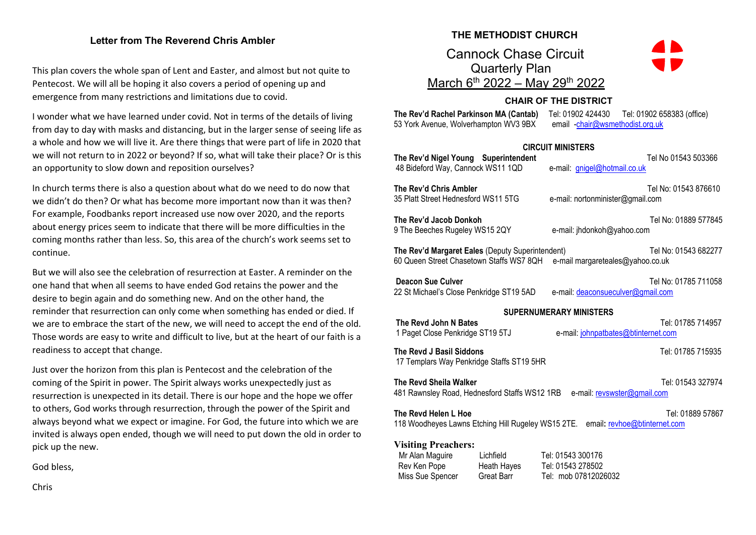## **Letter from The Reverend Chris Ambler**

This plan covers the whole span of Lent and Easter, and almost but not quite to Pentecost. We will all be hoping it also covers a period of opening up and emergence from many restrictions and limitations due to covid.

I wonder what we have learned under covid. Not in terms of the details of living from day to day with masks and distancing, but in the larger sense of seeing life as a whole and how we will live it. Are there things that were part of life in 2020 that we will not return to in 2022 or beyond? If so, what will take their place? Or is this an opportunity to slow down and reposition ourselves?

In church terms there is also a question about what do we need to do now that we didn't do then? Or what has become more important now than it was then? For example, Foodbanks report increased use now over 2020, and the reports about energy prices seem to indicate that there will be more difficulties in the coming months rather than less. So, this area of the church's work seems set to continue.

But we will also see the celebration of resurrection at Easter. A reminder on the one hand that when all seems to have ended God retains the power and the desire to begin again and do something new. And on the other hand, the reminder that resurrection can only come when something has ended or died. If we are to embrace the start of the new, we will need to accept the end of the old. Those words are easy to write and difficult to live, but at the heart of our faith is a readiness to accept that change.

Just over the horizon from this plan is Pentecost and the celebration of the coming of the Spirit in power. The Spirit always works unexpectedly just as resurrection is unexpected in its detail. There is our hope and the hope we offer to others, God works through resurrection, through the power of the Spirit and always beyond what we expect or imagine. For God, the future into which we are invited is always open ended, though we will need to put down the old in order to pick up the new.

God bless,

Chris

## **THE METHODIST CHURCH**

 Cannock Chase Circuit Quarterly Plan <u>March 6<sup>th</sup> 2022 – May 29<sup>th</sup> 2022</u>



## **CHAIR OF THE DISTRICT**

53 York Avenue, Wolverhampton WV3 9BX email [-chair@wsmethodist.org.uk](mailto:chair@wsmethodist.org.uk)

**The Rev'd Rachel Parkinson MA (Cantab)** Tel: 01902 424430 Tel: 01902 658383 (office)

| <b>CIRCUIT MINISTERS</b>                                                                                                       |                                                                                                                                                                                   |                                                                |                      |  |  |  |  |  |
|--------------------------------------------------------------------------------------------------------------------------------|-----------------------------------------------------------------------------------------------------------------------------------------------------------------------------------|----------------------------------------------------------------|----------------------|--|--|--|--|--|
| The Rev'd Nigel Young Superintendent<br>48 Bideford Way, Cannock WS11 1QD                                                      |                                                                                                                                                                                   | e-mail: gnigel@hotmail.co.uk                                   | Tel No 01543 503366  |  |  |  |  |  |
| The Rev'd Chris Ambler<br>35 Platt Street Hednesford WS11 5TG                                                                  |                                                                                                                                                                                   | e-mail: nortonminister@gmail.com                               | Tel No: 01543 876610 |  |  |  |  |  |
| The Rev'd Jacob Donkoh<br>9 The Beeches Rugeley WS15 2QY                                                                       |                                                                                                                                                                                   | e-mail: jhdonkoh@yahoo.com                                     | Tel No: 01889 577845 |  |  |  |  |  |
|                                                                                                                                | The Rev'd Margaret Eales (Deputy Superintendent)<br>Tel No: 01543 682277<br>60 Queen Street Chasetown Staffs WS7 8QH e-mail margareteales@yahoo.co.uk<br><b>Deacon Sue Culver</b> |                                                                |                      |  |  |  |  |  |
| 22 St Michael's Close Penkridge ST19 5AD                                                                                       |                                                                                                                                                                                   | e-mail: deaconsueculver@gmail.com                              | Tel No: 01785 711058 |  |  |  |  |  |
|                                                                                                                                |                                                                                                                                                                                   | <b>SUPERNUMERARY MINISTERS</b>                                 |                      |  |  |  |  |  |
| The Revd John N Bates<br>1 Paget Close Penkridge ST19 5TJ                                                                      |                                                                                                                                                                                   | Tel: 01785 714957<br>e-mail: johnpatbates@btinternet.com       |                      |  |  |  |  |  |
| The Revd J Basil Siddons<br>17 Templars Way Penkridge Staffs ST19 5HR                                                          | Tel: 01785 715935                                                                                                                                                                 |                                                                |                      |  |  |  |  |  |
| The Revd Sheila Walker<br>Tel: 01543 327974<br>481 Rawnsley Road, Hednesford Staffs WS12 1RB<br>e-mail: revswster@gmail.com    |                                                                                                                                                                                   |                                                                |                      |  |  |  |  |  |
| The Revd Helen L Hoe<br>Tel: 01889 57867<br>118 Woodheyes Lawns Etching Hill Rugeley WS15 2TE.<br>email: revhoe@btinternet.com |                                                                                                                                                                                   |                                                                |                      |  |  |  |  |  |
| <b>Visiting Preachers:</b><br>Mr Alan Maguire<br>Rev Ken Pope<br>Miss Sue Spencer                                              | Lichfield<br>Heath Hayes<br>Great Barr                                                                                                                                            | Tel: 01543 300176<br>Tel: 01543 278502<br>Tel: mob 07812026032 |                      |  |  |  |  |  |